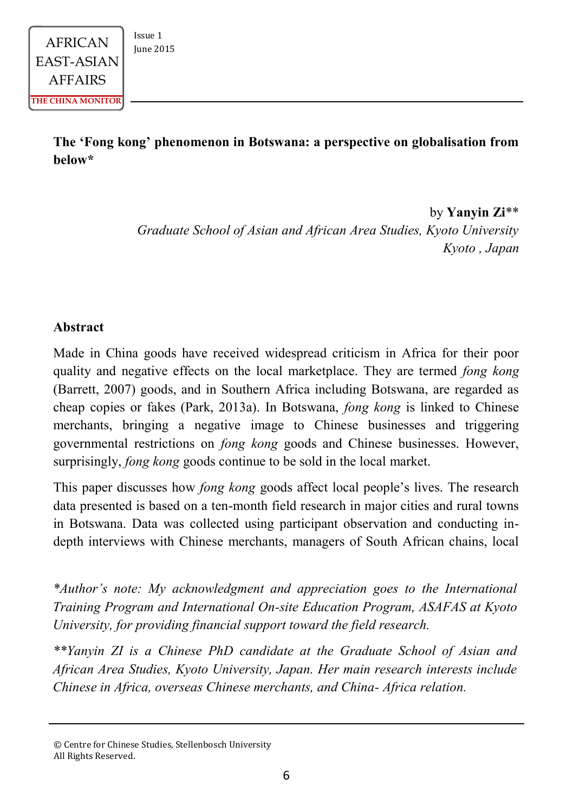## **The 'Fong kong' phenomenon in Botswana: a perspective on globalisation from below\***

by **Yanyin Zi**\*\* *Graduate School of Asian and African Area Studies, Kyoto University Kyoto , Japan*

#### **Abstract**

Made in China goods have received widespread criticism in Africa for their poor quality and negative effects on the local marketplace. They are termed *fong kong*  (Barrett, 2007) goods, and in Southern Africa including Botswana, are regarded as cheap copies or fakes (Park, 2013a). In Botswana, *fong kong* is linked to Chinese merchants, bringing a negative image to Chinese businesses and triggering governmental restrictions on *fong kong* goods and Chinese businesses. However, surprisingly, *fong kong* goods continue to be sold in the local market.

This paper discusses how *fong kong* goods affect local people's lives. The research data presented is based on a ten-month field research in major cities and rural towns in Botswana. Data was collected using participant observation and conducting indepth interviews with Chinese merchants, managers of South African chains, local

*\*Author's note: My acknowledgment and appreciation goes to the International Training Program and International On-site Education Program, ASAFAS at Kyoto University, for providing financial support toward the field research.* 

*\*\*Yanyin ZI is a Chinese PhD candidate at the Graduate School of Asian and African Area Studies, Kyoto University, Japan. Her main research interests include Chinese in Africa, overseas Chinese merchants, and China- Africa relation.*

<sup>©</sup> Centre for Chinese Studies, Stellenbosch University All Rights Reserved.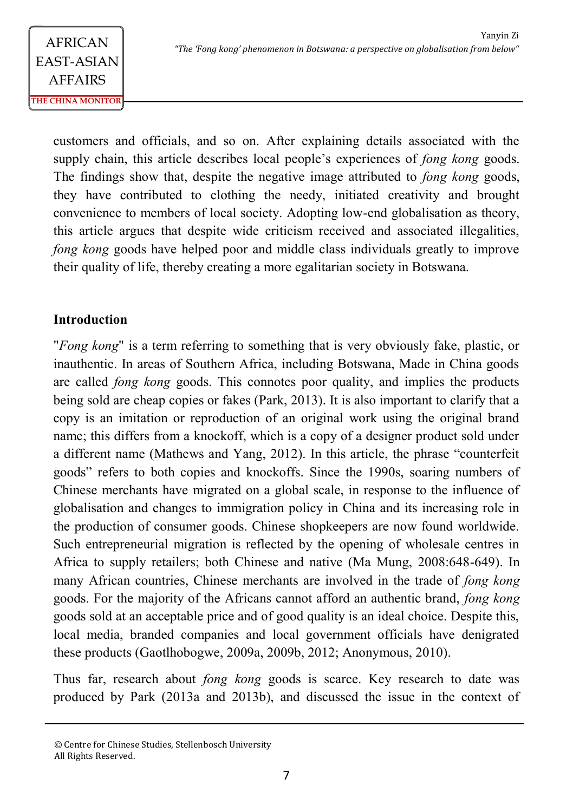customers and officials, and so on. After explaining details associated with the supply chain, this article describes local people's experiences of *fong kong* goods. The findings show that, despite the negative image attributed to *fong kong* goods, they have contributed to clothing the needy, initiated creativity and brought convenience to members of local society. Adopting low-end globalisation as theory, this article argues that despite wide criticism received and associated illegalities, *fong kong goods have helped poor and middle class individuals greatly to improve* their quality of life, thereby creating a more egalitarian society in Botswana.

### **Introduction**

"*Fong kong*" is a term referring to something that is very obviously fake, plastic, or inauthentic. In areas of Southern Africa, including Botswana, Made in China goods are called *fong kong* goods. This connotes poor quality, and implies the products being sold are cheap copies or fakes (Park, 2013). It is also important to clarify that a copy is an imitation or reproduction of an original work using the original brand name; this differs from a knockoff, which is a copy of a designer product sold under a different name (Mathews and Yang, 2012). In this article, the phrase "counterfeit goods" refers to both copies and knockoffs. Since the 1990s, soaring numbers of Chinese merchants have migrated on a global scale, in response to the influence of globalisation and changes to immigration policy in China and its increasing role in the production of consumer goods. Chinese shopkeepers are now found worldwide. Such entrepreneurial migration is reflected by the opening of wholesale centres in Africa to supply retailers; both Chinese and native (Ma Mung, 2008:648-649). In many African countries, Chinese merchants are involved in the trade of *fong kong*  goods. For the majority of the Africans cannot afford an authentic brand, *fong kong*  goods sold at an acceptable price and of good quality is an ideal choice. Despite this, local media, branded companies and local government officials have denigrated these products (Gaotlhobogwe, 2009a, 2009b, 2012; Anonymous, 2010).

Thus far, research about *fong kong* goods is scarce. Key research to date was produced by Park (2013a and 2013b), and discussed the issue in the context of

<sup>©</sup> Centre for Chinese Studies, Stellenbosch University All Rights Reserved.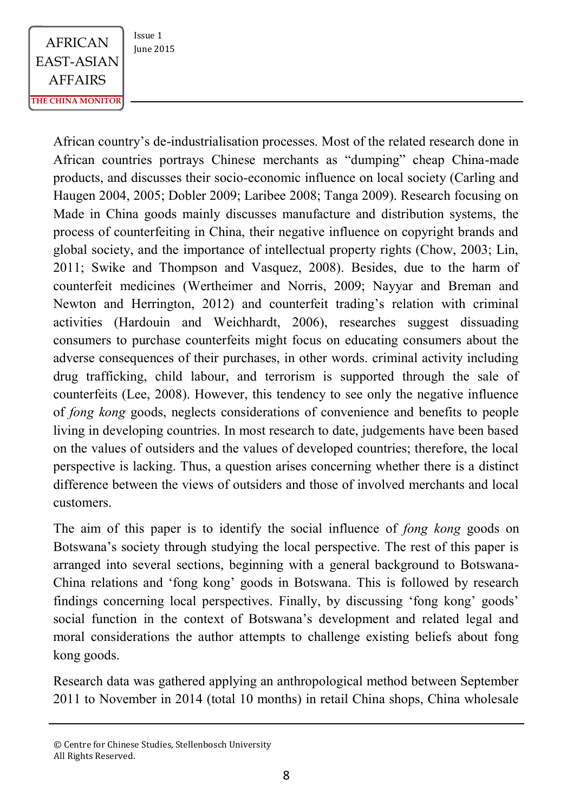African country's de-industrialisation processes. Most of the related research done in African countries portrays Chinese merchants as "dumping" cheap China-made products, and discusses their socio-economic influence on local society (Carling and Haugen 2004, 2005; Dobler 2009; Laribee 2008; Tanga 2009). Research focusing on Made in China goods mainly discusses manufacture and distribution systems, the process of counterfeiting in China, their negative influence on copyright brands and global society, and the importance of intellectual property rights (Chow, 2003; Lin, 2011; Swike and Thompson and Vasquez, 2008). Besides, due to the harm of counterfeit medicines (Wertheimer and Norris, 2009; Nayyar and Breman and Newton and Herrington, 2012) and counterfeit trading's relation with criminal activities (Hardouin and Weichhardt, 2006), researches suggest dissuading consumers to purchase counterfeits might focus on educating consumers about the adverse consequences of their purchases, in other words. criminal activity including drug trafficking, child labour, and terrorism is supported through the sale of counterfeits (Lee, 2008). However, this tendency to see only the negative influence of *fong kong* goods, neglects considerations of convenience and benefits to people living in developing countries. In most research to date, judgements have been based on the values of outsiders and the values of developed countries; therefore, the local perspective is lacking. Thus, a question arises concerning whether there is a distinct difference between the views of outsiders and those of involved merchants and local customers.

The aim of this paper is to identify the social influence of *fong kong* goods on Botswana's society through studying the local perspective. The rest of this paper is arranged into several sections, beginning with a general background to Botswana-China relations and 'fong kong' goods in Botswana. This is followed by research findings concerning local perspectives. Finally, by discussing 'fong kong' goods' social function in the context of Botswana's development and related legal and moral considerations the author attempts to challenge existing beliefs about fong kong goods.

Research data was gathered applying an anthropological method between September 2011 to November in 2014 (total 10 months) in retail China shops, China wholesale

<sup>©</sup> Centre for Chinese Studies, Stellenbosch University All Rights Reserved.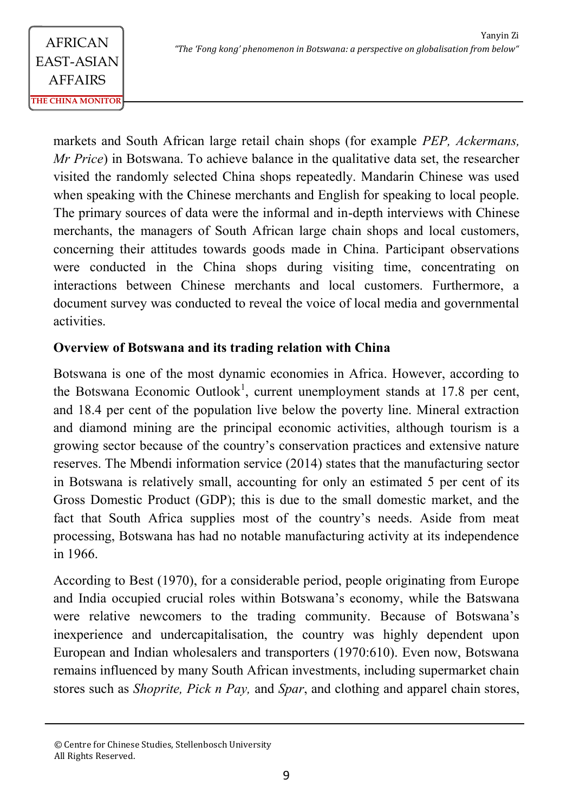markets and South African large retail chain shops (for example *PEP, Ackermans, Mr Price*) in Botswana. To achieve balance in the qualitative data set, the researcher visited the randomly selected China shops repeatedly. Mandarin Chinese was used when speaking with the Chinese merchants and English for speaking to local people. The primary sources of data were the informal and in-depth interviews with Chinese merchants, the managers of South African large chain shops and local customers, concerning their attitudes towards goods made in China. Participant observations were conducted in the China shops during visiting time, concentrating on interactions between Chinese merchants and local customers. Furthermore, a document survey was conducted to reveal the voice of local media and governmental activities.

## **Overview of Botswana and its trading relation with China**

Botswana is one of the most dynamic economies in Africa. However, according to the Botswana Economic Outlook<sup>1</sup>, current unemployment stands at 17.8 per cent, and 18.4 per cent of the population live below the poverty line. Mineral extraction and diamond mining are the principal economic activities, although tourism is a growing sector because of the country's conservation practices and extensive nature reserves. The Mbendi information service (2014) states that the manufacturing sector in Botswana is relatively small, accounting for only an estimated 5 per cent of its Gross Domestic Product (GDP); this is due to the small domestic market, and the fact that South Africa supplies most of the country's needs. Aside from meat processing, Botswana has had no notable manufacturing activity at its independence in 1966.

According to Best (1970), for a considerable period, people originating from Europe and India occupied crucial roles within Botswana's economy, while the Batswana were relative newcomers to the trading community. Because of Botswana's inexperience and undercapitalisation, the country was highly dependent upon European and Indian wholesalers and transporters (1970:610). Even now, Botswana remains influenced by many South African investments, including supermarket chain stores such as *Shoprite, Pick n Pay,* and *Spar*, and clothing and apparel chain stores,

<sup>©</sup> Centre for Chinese Studies, Stellenbosch University All Rights Reserved.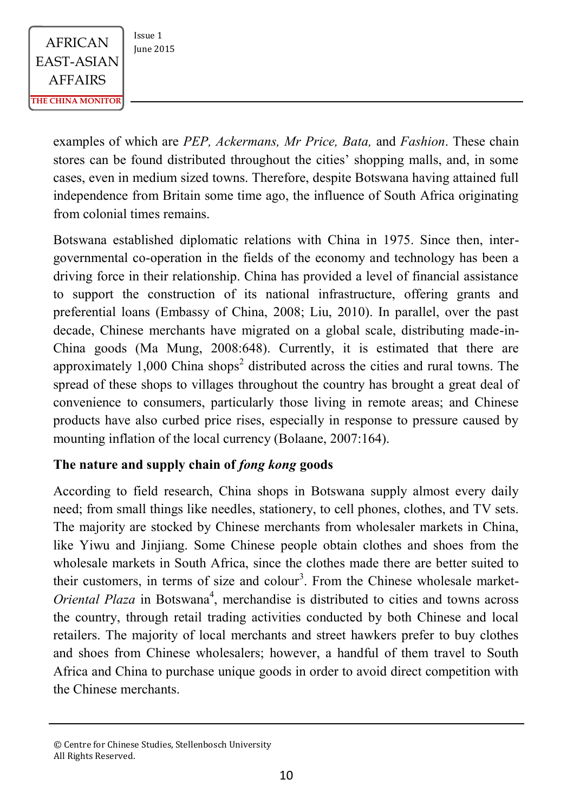examples of which are *PEP, Ackermans, Mr Price, Bata,* and *Fashion*. These chain stores can be found distributed throughout the cities' shopping malls, and, in some cases, even in medium sized towns. Therefore, despite Botswana having attained full independence from Britain some time ago, the influence of South Africa originating from colonial times remains.

Botswana established diplomatic relations with China in 1975. Since then, intergovernmental co-operation in the fields of the economy and technology has been a driving force in their relationship. China has provided a level of financial assistance to support the construction of its national infrastructure, offering grants and preferential loans (Embassy of China, 2008; Liu, 2010). In parallel, over the past decade, Chinese merchants have migrated on a global scale, distributing made-in-China goods (Ma Mung, 2008:648). Currently, it is estimated that there are approximately  $1,000$  China shops<sup>2</sup> distributed across the cities and rural towns. The spread of these shops to villages throughout the country has brought a great deal of convenience to consumers, particularly those living in remote areas; and Chinese products have also curbed price rises, especially in response to pressure caused by mounting inflation of the local currency (Bolaane, 2007:164).

### **The nature and supply chain of** *fong kong* **goods**

According to field research, China shops in Botswana supply almost every daily need; from small things like needles, stationery, to cell phones, clothes, and TV sets. The majority are stocked by Chinese merchants from wholesaler markets in China, like Yiwu and Jinjiang. Some Chinese people obtain clothes and shoes from the wholesale markets in South Africa, since the clothes made there are better suited to their customers, in terms of size and colour<sup>3</sup>. From the Chinese wholesale market-*Oriental Plaza* in Botswana<sup>4</sup>, merchandise is distributed to cities and towns across the country, through retail trading activities conducted by both Chinese and local retailers. The majority of local merchants and street hawkers prefer to buy clothes and shoes from Chinese wholesalers; however, a handful of them travel to South Africa and China to purchase unique goods in order to avoid direct competition with the Chinese merchants.

<sup>©</sup> Centre for Chinese Studies, Stellenbosch University All Rights Reserved.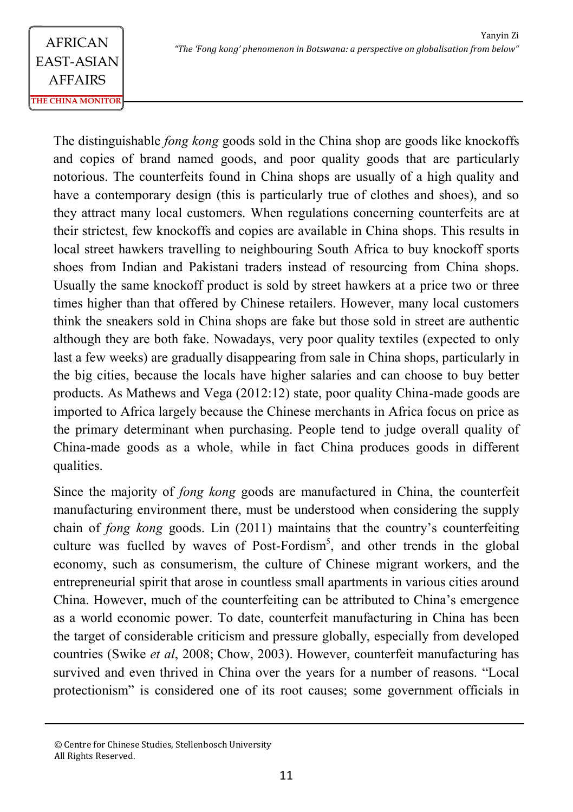The distinguishable *fong kong* goods sold in the China shop are goods like knockoffs and copies of brand named goods, and poor quality goods that are particularly notorious. The counterfeits found in China shops are usually of a high quality and have a contemporary design (this is particularly true of clothes and shoes), and so they attract many local customers. When regulations concerning counterfeits are at their strictest, few knockoffs and copies are available in China shops. This results in local street hawkers travelling to neighbouring South Africa to buy knockoff sports shoes from Indian and Pakistani traders instead of resourcing from China shops. Usually the same knockoff product is sold by street hawkers at a price two or three times higher than that offered by Chinese retailers. However, many local customers think the sneakers sold in China shops are fake but those sold in street are authentic although they are both fake. Nowadays, very poor quality textiles (expected to only last a few weeks) are gradually disappearing from sale in China shops, particularly in the big cities, because the locals have higher salaries and can choose to buy better products. As Mathews and Vega (2012:12) state, poor quality China-made goods are imported to Africa largely because the Chinese merchants in Africa focus on price as the primary determinant when purchasing. People tend to judge overall quality of China-made goods as a whole, while in fact China produces goods in different qualities.

Since the majority of *fong kong* goods are manufactured in China, the counterfeit manufacturing environment there, must be understood when considering the supply chain of *fong kong* goods. Lin (2011) maintains that the country's counterfeiting culture was fuelled by waves of Post-Fordism<sup>5</sup>, and other trends in the global economy, such as consumerism, the culture of Chinese migrant workers, and the entrepreneurial spirit that arose in countless small apartments in various cities around China. However, much of the counterfeiting can be attributed to China's emergence as a world economic power. To date, counterfeit manufacturing in China has been the target of considerable criticism and pressure globally, especially from developed countries (Swike *et al*, 2008; Chow, 2003). However, counterfeit manufacturing has survived and even thrived in China over the years for a number of reasons. "Local protectionism" is considered one of its root causes; some government officials in

<sup>©</sup> Centre for Chinese Studies, Stellenbosch University All Rights Reserved.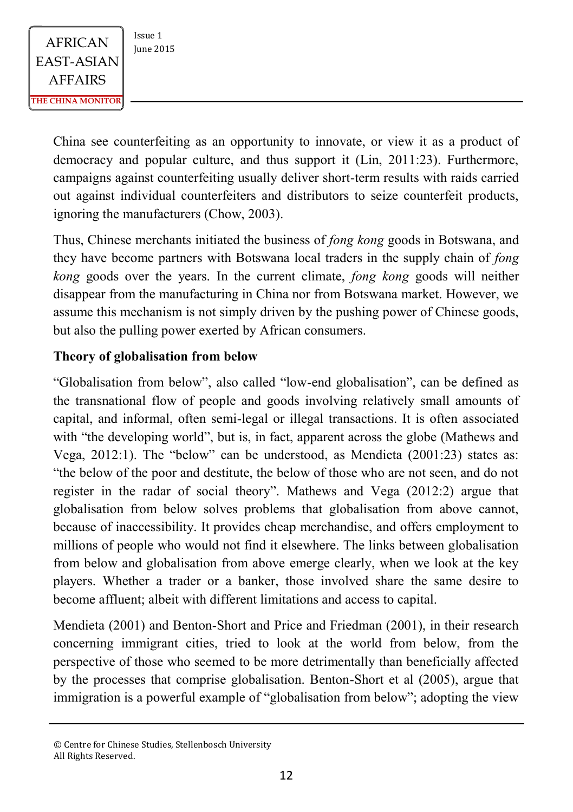China see counterfeiting as an opportunity to innovate, or view it as a product of democracy and popular culture, and thus support it (Lin, 2011:23). Furthermore, campaigns against counterfeiting usually deliver short-term results with raids carried out against individual counterfeiters and distributors to seize counterfeit products, ignoring the manufacturers (Chow, 2003).

Thus, Chinese merchants initiated the business of *fong kong* goods in Botswana, and they have become partners with Botswana local traders in the supply chain of *fong kong* goods over the years. In the current climate, *fong kong* goods will neither disappear from the manufacturing in China nor from Botswana market. However, we assume this mechanism is not simply driven by the pushing power of Chinese goods, but also the pulling power exerted by African consumers.

### **Theory of globalisation from below**

"Globalisation from below", also called "low-end globalisation", can be defined as the transnational flow of people and goods involving relatively small amounts of capital, and informal, often semi-legal or illegal transactions. It is often associated with "the developing world", but is, in fact, apparent across the globe (Mathews and Vega, 2012:1). The "below" can be understood, as Mendieta (2001:23) states as: "the below of the poor and destitute, the below of those who are not seen, and do not register in the radar of social theory". Mathews and Vega (2012:2) argue that globalisation from below solves problems that globalisation from above cannot, because of inaccessibility. It provides cheap merchandise, and offers employment to millions of people who would not find it elsewhere. The links between globalisation from below and globalisation from above emerge clearly, when we look at the key players. Whether a trader or a banker, those involved share the same desire to become affluent; albeit with different limitations and access to capital.

Mendieta (2001) and Benton-Short and Price and Friedman (2001), in their research concerning immigrant cities, tried to look at the world from below, from the perspective of those who seemed to be more detrimentally than beneficially affected by the processes that comprise globalisation. Benton-Short et al (2005), argue that immigration is a powerful example of "globalisation from below"; adopting the view

<sup>©</sup> Centre for Chinese Studies, Stellenbosch University All Rights Reserved.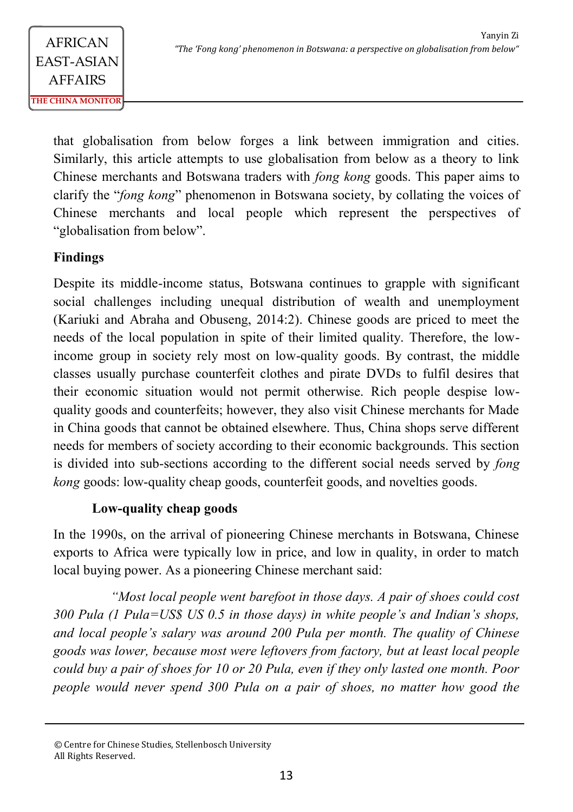that globalisation from below forges a link between immigration and cities. Similarly, this article attempts to use globalisation from below as a theory to link Chinese merchants and Botswana traders with *fong kong* goods. This paper aims to clarify the "*fong kong*" phenomenon in Botswana society, by collating the voices of Chinese merchants and local people which represent the perspectives of "globalisation from below".

## **Findings**

Despite its middle-income status, Botswana continues to grapple with significant social challenges including unequal distribution of wealth and unemployment (Kariuki and Abraha and Obuseng, 2014:2). Chinese goods are priced to meet the needs of the local population in spite of their limited quality. Therefore, the lowincome group in society rely most on low-quality goods. By contrast, the middle classes usually purchase counterfeit clothes and pirate DVDs to fulfil desires that their economic situation would not permit otherwise. Rich people despise lowquality goods and counterfeits; however, they also visit Chinese merchants for Made in China goods that cannot be obtained elsewhere. Thus, China shops serve different needs for members of society according to their economic backgrounds. This section is divided into sub-sections according to the different social needs served by *fong kong* goods: low-quality cheap goods, counterfeit goods, and novelties goods.

## **Low-quality cheap goods**

In the 1990s, on the arrival of pioneering Chinese merchants in Botswana, Chinese exports to Africa were typically low in price, and low in quality, in order to match local buying power. As a pioneering Chinese merchant said:

*"Most local people went barefoot in those days. A pair of shoes could cost 300 Pula (1 Pula=US\$ US 0.5 in those days) in white people's and Indian's shops, and local people's salary was around 200 Pula per month. The quality of Chinese goods was lower, because most were leftovers from factory, but at least local people could buy a pair of shoes for 10 or 20 Pula, even if they only lasted one month. Poor people would never spend 300 Pula on a pair of shoes, no matter how good the* 

<sup>©</sup> Centre for Chinese Studies, Stellenbosch University All Rights Reserved.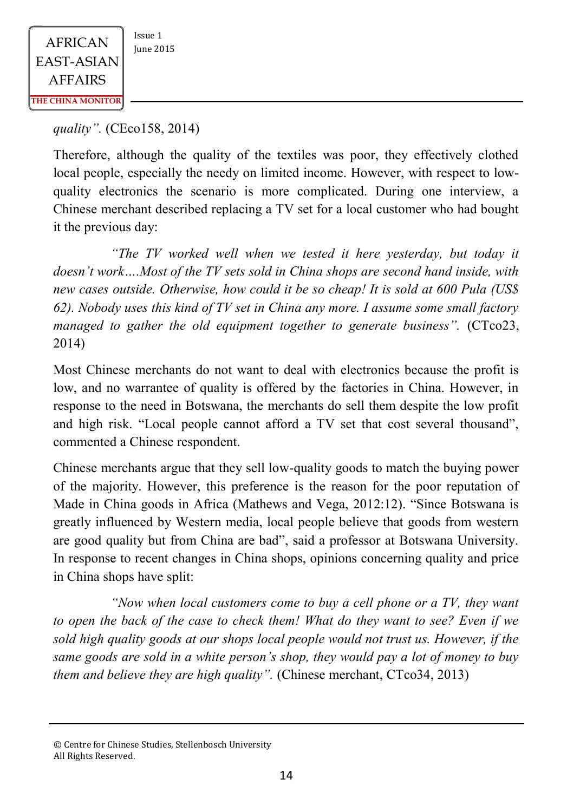*quality".* (CEco158, 2014)

Therefore, although the quality of the textiles was poor, they effectively clothed local people, especially the needy on limited income. However, with respect to lowquality electronics the scenario is more complicated. During one interview, a Chinese merchant described replacing a TV set for a local customer who had bought it the previous day:

*"The TV worked well when we tested it here yesterday, but today it doesn't work….Most of the TV sets sold in China shops are second hand inside, with new cases outside. Otherwise, how could it be so cheap! It is sold at 600 Pula (US\$ 62). Nobody uses this kind of TV set in China any more. I assume some small factory managed to gather the old equipment together to generate business*". (CTco23, 2014)

Most Chinese merchants do not want to deal with electronics because the profit is low, and no warrantee of quality is offered by the factories in China. However, in response to the need in Botswana, the merchants do sell them despite the low profit and high risk. "Local people cannot afford a TV set that cost several thousand", commented a Chinese respondent.

Chinese merchants argue that they sell low-quality goods to match the buying power of the majority. However, this preference is the reason for the poor reputation of Made in China goods in Africa (Mathews and Vega, 2012:12). "Since Botswana is greatly influenced by Western media, local people believe that goods from western are good quality but from China are bad", said a professor at Botswana University. In response to recent changes in China shops, opinions concerning quality and price in China shops have split:

*"Now when local customers come to buy a cell phone or a TV, they want to open the back of the case to check them! What do they want to see? Even if we sold high quality goods at our shops local people would not trust us. However, if the same goods are sold in a white person's shop, they would pay a lot of money to buy them and believe they are high quality".* (Chinese merchant, CTco34, 2013)

<sup>©</sup> Centre for Chinese Studies, Stellenbosch University All Rights Reserved.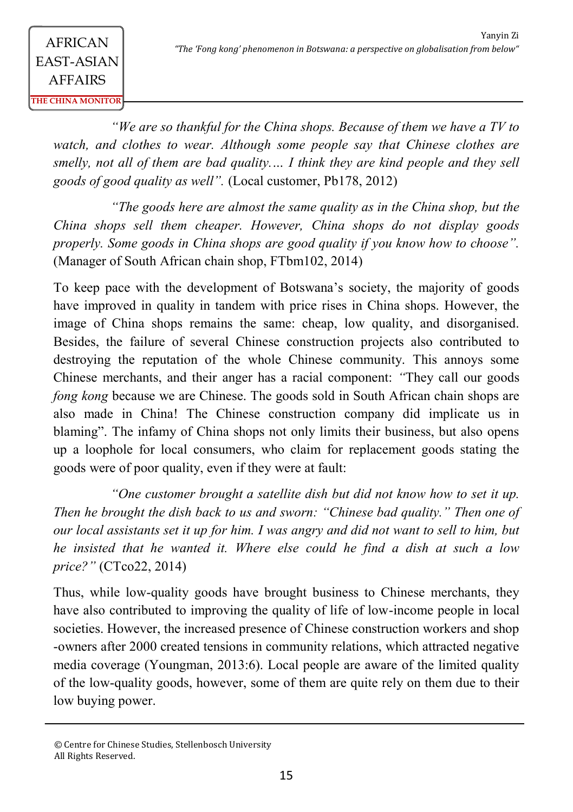*"We are so thankful for the China shops. Because of them we have a TV to watch, and clothes to wear. Although some people say that Chinese clothes are smelly, not all of them are bad quality.… I think they are kind people and they sell goods of good quality as well".* (Local customer, Pb178, 2012)

*"The goods here are almost the same quality as in the China shop, but the China shops sell them cheaper. However, China shops do not display goods properly. Some goods in China shops are good quality if you know how to choose".*  (Manager of South African chain shop, FTbm102, 2014)

To keep pace with the development of Botswana's society, the majority of goods have improved in quality in tandem with price rises in China shops. However, the image of China shops remains the same: cheap, low quality, and disorganised. Besides, the failure of several Chinese construction projects also contributed to destroying the reputation of the whole Chinese community. This annoys some Chinese merchants, and their anger has a racial component: *"*They call our goods *fong kong* because we are Chinese. The goods sold in South African chain shops are also made in China! The Chinese construction company did implicate us in blaming". The infamy of China shops not only limits their business, but also opens up a loophole for local consumers, who claim for replacement goods stating the goods were of poor quality, even if they were at fault:

*"One customer brought a satellite dish but did not know how to set it up. Then he brought the dish back to us and sworn: "Chinese bad quality." Then one of our local assistants set it up for him. I was angry and did not want to sell to him, but he insisted that he wanted it. Where else could he find a dish at such a low price?"* (CTco22, 2014)

Thus, while low-quality goods have brought business to Chinese merchants, they have also contributed to improving the quality of life of low-income people in local societies. However, the increased presence of Chinese construction workers and shop -owners after 2000 created tensions in community relations, which attracted negative media coverage (Youngman, 2013:6). Local people are aware of the limited quality of the low-quality goods, however, some of them are quite rely on them due to their low buying power.

<sup>©</sup> Centre for Chinese Studies, Stellenbosch University All Rights Reserved.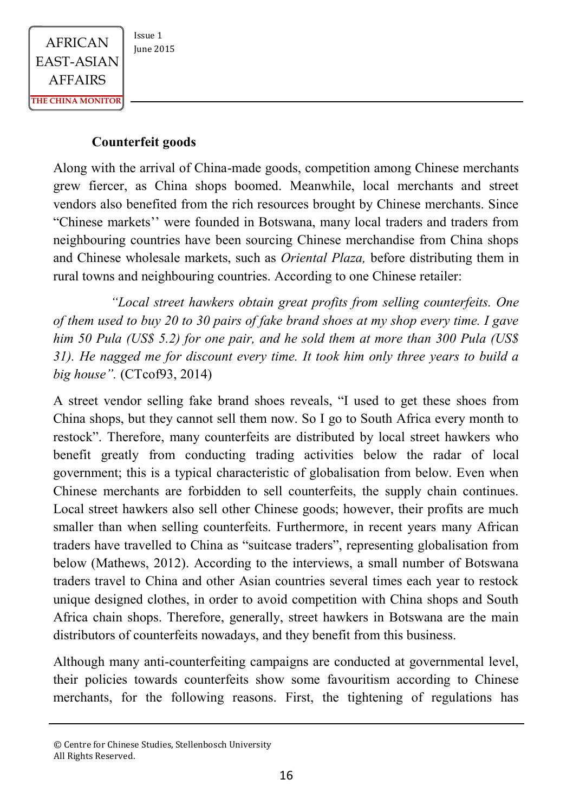#### **Counterfeit goods**

Along with the arrival of China-made goods, competition among Chinese merchants grew fiercer, as China shops boomed. Meanwhile, local merchants and street vendors also benefited from the rich resources brought by Chinese merchants. Since "Chinese markets'' were founded in Botswana, many local traders and traders from neighbouring countries have been sourcing Chinese merchandise from China shops and Chinese wholesale markets, such as *Oriental Plaza,* before distributing them in rural towns and neighbouring countries. According to one Chinese retailer:

*"Local street hawkers obtain great profits from selling counterfeits. One of them used to buy 20 to 30 pairs of fake brand shoes at my shop every time. I gave him 50 Pula (US\$ 5.2) for one pair, and he sold them at more than 300 Pula (US\$ 31). He nagged me for discount every time. It took him only three years to build a big house".* (CTcof93, 2014)

A street vendor selling fake brand shoes reveals, "I used to get these shoes from China shops, but they cannot sell them now. So I go to South Africa every month to restock". Therefore, many counterfeits are distributed by local street hawkers who benefit greatly from conducting trading activities below the radar of local government; this is a typical characteristic of globalisation from below. Even when Chinese merchants are forbidden to sell counterfeits, the supply chain continues. Local street hawkers also sell other Chinese goods; however, their profits are much smaller than when selling counterfeits. Furthermore, in recent years many African traders have travelled to China as "suitcase traders", representing globalisation from below (Mathews, 2012). According to the interviews, a small number of Botswana traders travel to China and other Asian countries several times each year to restock unique designed clothes, in order to avoid competition with China shops and South Africa chain shops. Therefore, generally, street hawkers in Botswana are the main distributors of counterfeits nowadays, and they benefit from this business.

Although many anti-counterfeiting campaigns are conducted at governmental level, their policies towards counterfeits show some favouritism according to Chinese merchants, for the following reasons. First, the tightening of regulations has

<sup>©</sup> Centre for Chinese Studies, Stellenbosch University All Rights Reserved.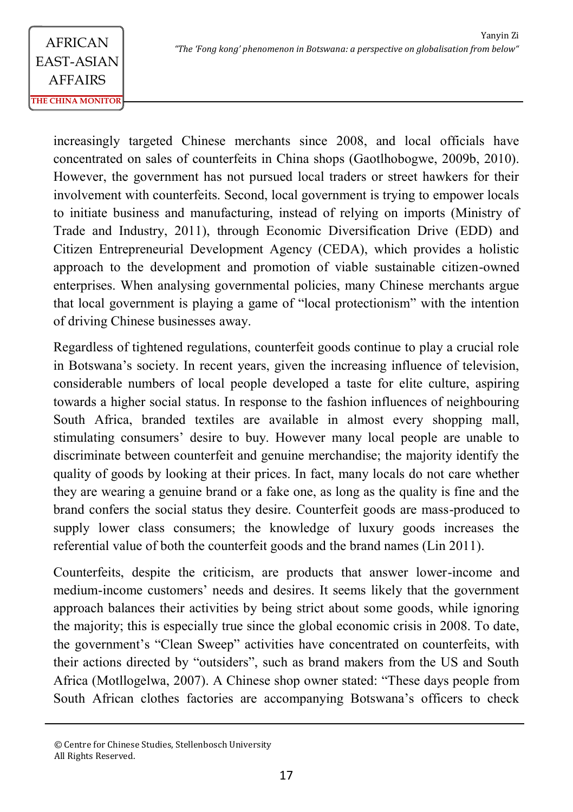increasingly targeted Chinese merchants since 2008, and local officials have concentrated on sales of counterfeits in China shops (Gaotlhobogwe, 2009b, 2010). However, the government has not pursued local traders or street hawkers for their involvement with counterfeits. Second, local government is trying to empower locals to initiate business and manufacturing, instead of relying on imports (Ministry of Trade and Industry, 2011), through Economic Diversification Drive (EDD) and Citizen Entrepreneurial Development Agency (CEDA), which provides a holistic approach to the development and promotion of viable sustainable citizen-owned enterprises. When analysing governmental policies, many Chinese merchants argue that local government is playing a game of "local protectionism" with the intention of driving Chinese businesses away.

Regardless of tightened regulations, counterfeit goods continue to play a crucial role in Botswana's society. In recent years, given the increasing influence of television, considerable numbers of local people developed a taste for elite culture, aspiring towards a higher social status. In response to the fashion influences of neighbouring South Africa, branded textiles are available in almost every shopping mall, stimulating consumers' desire to buy. However many local people are unable to discriminate between counterfeit and genuine merchandise; the majority identify the quality of goods by looking at their prices. In fact, many locals do not care whether they are wearing a genuine brand or a fake one, as long as the quality is fine and the brand confers the social status they desire. Counterfeit goods are mass-produced to supply lower class consumers; the knowledge of luxury goods increases the referential value of both the counterfeit goods and the brand names (Lin 2011).

Counterfeits, despite the criticism, are products that answer lower-income and medium-income customers' needs and desires. It seems likely that the government approach balances their activities by being strict about some goods, while ignoring the majority; this is especially true since the global economic crisis in 2008. To date, the government's "Clean Sweep" activities have concentrated on counterfeits, with their actions directed by "outsiders", such as brand makers from the US and South Africa (Motllogelwa, 2007). A Chinese shop owner stated: "These days people from South African clothes factories are accompanying Botswana's officers to check

<sup>©</sup> Centre for Chinese Studies, Stellenbosch University All Rights Reserved.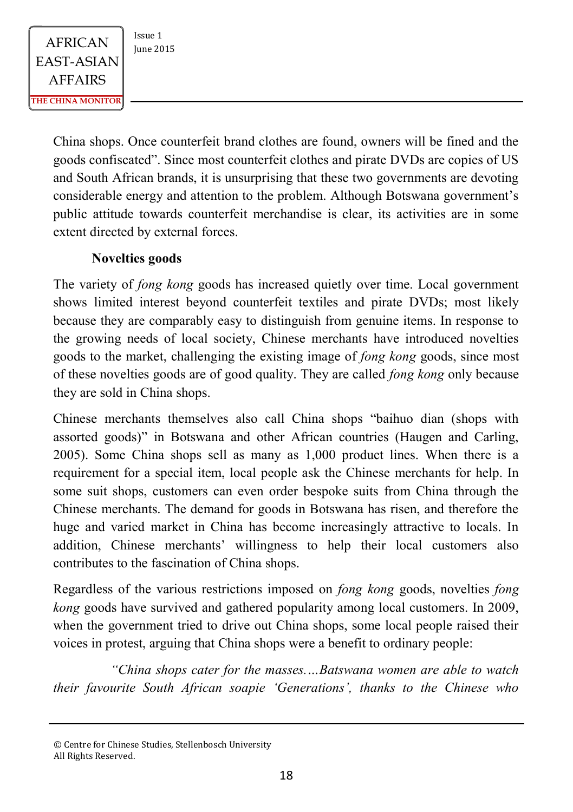China shops. Once counterfeit brand clothes are found, owners will be fined and the goods confiscated". Since most counterfeit clothes and pirate DVDs are copies of US and South African brands, it is unsurprising that these two governments are devoting considerable energy and attention to the problem. Although Botswana government's public attitude towards counterfeit merchandise is clear, its activities are in some extent directed by external forces.

### **Novelties goods**

The variety of *fong kong* goods has increased quietly over time. Local government shows limited interest beyond counterfeit textiles and pirate DVDs; most likely because they are comparably easy to distinguish from genuine items. In response to the growing needs of local society, Chinese merchants have introduced novelties goods to the market, challenging the existing image of *fong kong* goods, since most of these novelties goods are of good quality. They are called *fong kong* only because they are sold in China shops.

Chinese merchants themselves also call China shops "baihuo dian (shops with assorted goods)" in Botswana and other African countries (Haugen and Carling, 2005). Some China shops sell as many as 1,000 product lines. When there is a requirement for a special item, local people ask the Chinese merchants for help. In some suit shops, customers can even order bespoke suits from China through the Chinese merchants. The demand for goods in Botswana has risen, and therefore the huge and varied market in China has become increasingly attractive to locals. In addition, Chinese merchants' willingness to help their local customers also contributes to the fascination of China shops.

Regardless of the various restrictions imposed on *fong kong* goods, novelties *fong kong* goods have survived and gathered popularity among local customers. In 2009, when the government tried to drive out China shops, some local people raised their voices in protest, arguing that China shops were a benefit to ordinary people:

*"China shops cater for the masses.…Batswana women are able to watch their favourite South African soapie 'Generations', thanks to the Chinese who* 

© Centre for Chinese Studies, Stellenbosch University All Rights Reserved.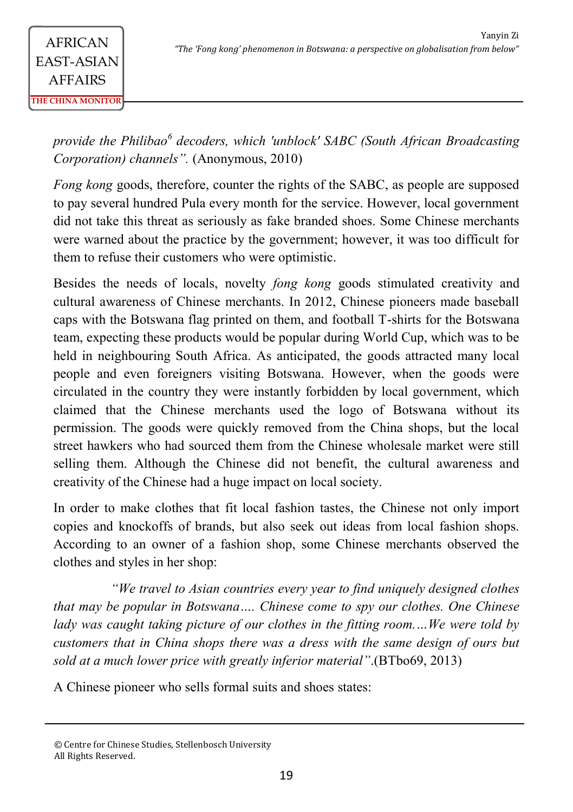*provide the Philibao<sup>6</sup> decoders, which 'unblock' SABC (South African Broadcasting Corporation) channels".* (Anonymous, 2010)

*Fong kong* goods, therefore, counter the rights of the SABC, as people are supposed to pay several hundred Pula every month for the service. However, local government did not take this threat as seriously as fake branded shoes. Some Chinese merchants were warned about the practice by the government; however, it was too difficult for them to refuse their customers who were optimistic.

Besides the needs of locals, novelty *fong kong* goods stimulated creativity and cultural awareness of Chinese merchants. In 2012, Chinese pioneers made baseball caps with the Botswana flag printed on them, and football T-shirts for the Botswana team, expecting these products would be popular during World Cup, which was to be held in neighbouring South Africa. As anticipated, the goods attracted many local people and even foreigners visiting Botswana. However, when the goods were circulated in the country they were instantly forbidden by local government, which claimed that the Chinese merchants used the logo of Botswana without its permission. The goods were quickly removed from the China shops, but the local street hawkers who had sourced them from the Chinese wholesale market were still selling them. Although the Chinese did not benefit, the cultural awareness and creativity of the Chinese had a huge impact on local society.

In order to make clothes that fit local fashion tastes, the Chinese not only import copies and knockoffs of brands, but also seek out ideas from local fashion shops. According to an owner of a fashion shop, some Chinese merchants observed the clothes and styles in her shop:

*"We travel to Asian countries every year to find uniquely designed clothes that may be popular in Botswana…. Chinese come to spy our clothes. One Chinese lady was caught taking picture of our clothes in the fitting room.…We were told by customers that in China shops there was a dress with the same design of ours but sold at a much lower price with greatly inferior material"*.(BTbo69, 2013)

A Chinese pioneer who sells formal suits and shoes states:

<sup>©</sup> Centre for Chinese Studies, Stellenbosch University All Rights Reserved.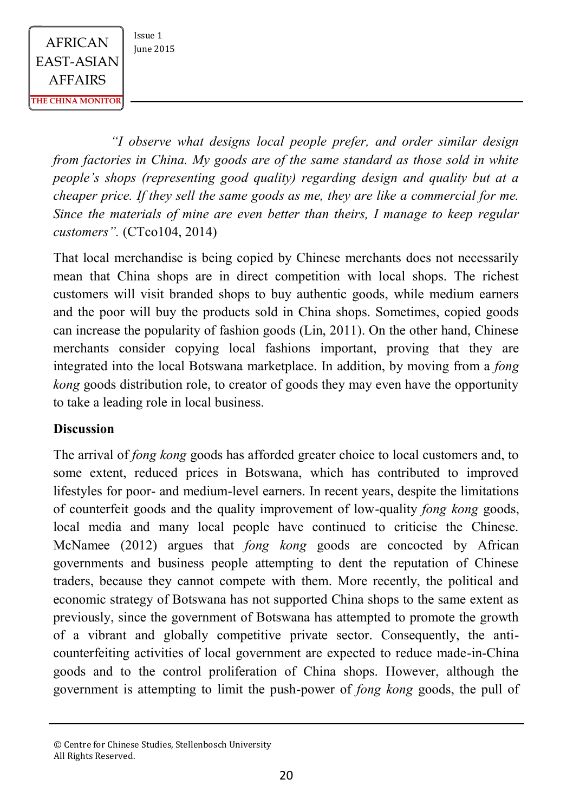> *"I observe what designs local people prefer, and order similar design from factories in China. My goods are of the same standard as those sold in white people's shops (representing good quality) regarding design and quality but at a cheaper price. If they sell the same goods as me, they are like a commercial for me. Since the materials of mine are even better than theirs, I manage to keep regular customers".* (CTco104, 2014)

> That local merchandise is being copied by Chinese merchants does not necessarily mean that China shops are in direct competition with local shops. The richest customers will visit branded shops to buy authentic goods, while medium earners and the poor will buy the products sold in China shops. Sometimes, copied goods can increase the popularity of fashion goods (Lin, 2011). On the other hand, Chinese merchants consider copying local fashions important, proving that they are integrated into the local Botswana marketplace. In addition, by moving from a *fong kong* goods distribution role, to creator of goods they may even have the opportunity to take a leading role in local business.

#### **Discussion**

The arrival of *fong kong* goods has afforded greater choice to local customers and, to some extent, reduced prices in Botswana, which has contributed to improved lifestyles for poor- and medium-level earners. In recent years, despite the limitations of counterfeit goods and the quality improvement of low-quality *fong kong* goods, local media and many local people have continued to criticise the Chinese. McNamee (2012) argues that *fong kong* goods are concocted by African governments and business people attempting to dent the reputation of Chinese traders, because they cannot compete with them. More recently, the political and economic strategy of Botswana has not supported China shops to the same extent as previously, since the government of Botswana has attempted to promote the growth of a vibrant and globally competitive private sector. Consequently, the anticounterfeiting activities of local government are expected to reduce made-in-China goods and to the control proliferation of China shops. However, although the government is attempting to limit the push-power of *fong kong* goods, the pull of

<sup>©</sup> Centre for Chinese Studies, Stellenbosch University All Rights Reserved.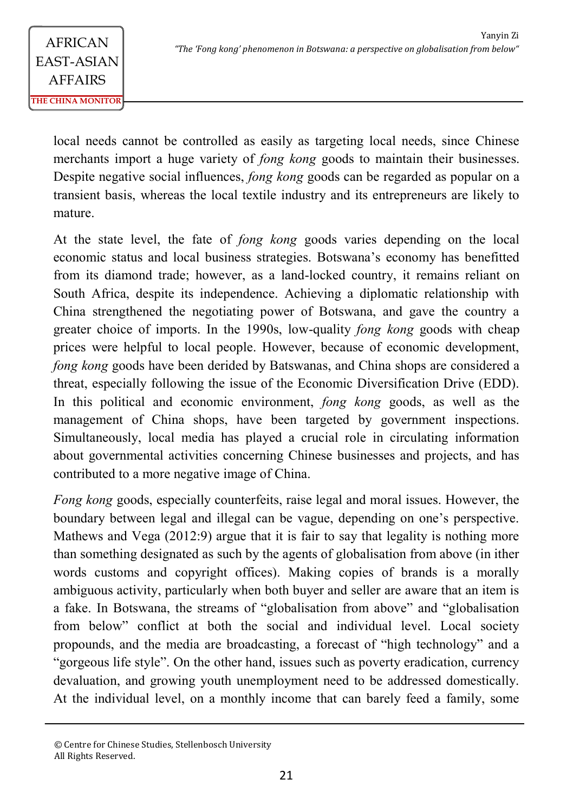local needs cannot be controlled as easily as targeting local needs, since Chinese merchants import a huge variety of *fong kong* goods to maintain their businesses. Despite negative social influences, *fong kong* goods can be regarded as popular on a transient basis, whereas the local textile industry and its entrepreneurs are likely to mature.

At the state level, the fate of *fong kong* goods varies depending on the local economic status and local business strategies. Botswana's economy has benefitted from its diamond trade; however, as a land-locked country, it remains reliant on South Africa, despite its independence. Achieving a diplomatic relationship with China strengthened the negotiating power of Botswana, and gave the country a greater choice of imports. In the 1990s, low-quality *fong kong* goods with cheap prices were helpful to local people. However, because of economic development, *fong kong* goods have been derided by Batswanas, and China shops are considered a threat, especially following the issue of the Economic Diversification Drive (EDD). In this political and economic environment, *fong kong* goods, as well as the management of China shops, have been targeted by government inspections. Simultaneously, local media has played a crucial role in circulating information about governmental activities concerning Chinese businesses and projects, and has contributed to a more negative image of China.

*Fong kong* goods, especially counterfeits, raise legal and moral issues. However, the boundary between legal and illegal can be vague, depending on one's perspective. Mathews and Vega (2012:9) argue that it is fair to say that legality is nothing more than something designated as such by the agents of globalisation from above (in ither words customs and copyright offices). Making copies of brands is a morally ambiguous activity, particularly when both buyer and seller are aware that an item is a fake. In Botswana, the streams of "globalisation from above" and "globalisation from below" conflict at both the social and individual level. Local society propounds, and the media are broadcasting, a forecast of "high technology" and a "gorgeous life style". On the other hand, issues such as poverty eradication, currency devaluation, and growing youth unemployment need to be addressed domestically. At the individual level, on a monthly income that can barely feed a family, some

<sup>©</sup> Centre for Chinese Studies, Stellenbosch University All Rights Reserved.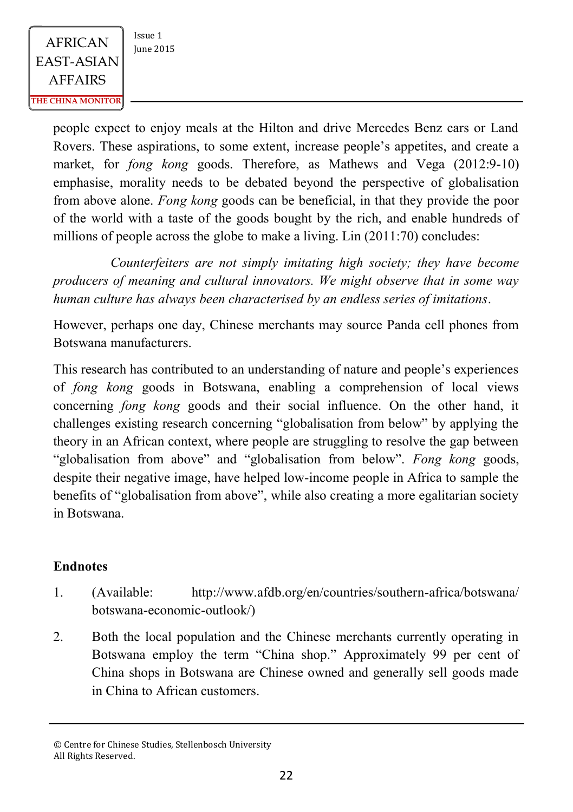people expect to enjoy meals at the Hilton and drive Mercedes Benz cars or Land Rovers. These aspirations, to some extent, increase people's appetites, and create a market, for *fong kong* goods. Therefore, as Mathews and Vega (2012:9-10) emphasise, morality needs to be debated beyond the perspective of globalisation from above alone. *Fong kong* goods can be beneficial, in that they provide the poor of the world with a taste of the goods bought by the rich, and enable hundreds of millions of people across the globe to make a living. Lin (2011:70) concludes:

*Counterfeiters are not simply imitating high society; they have become producers of meaning and cultural innovators. We might observe that in some way human culture has always been characterised by an endless series of imitations*.

However, perhaps one day, Chinese merchants may source Panda cell phones from Botswana manufacturers.

This research has contributed to an understanding of nature and people's experiences of *fong kong* goods in Botswana, enabling a comprehension of local views concerning *fong kong* goods and their social influence. On the other hand, it challenges existing research concerning "globalisation from below" by applying the theory in an African context, where people are struggling to resolve the gap between "globalisation from above" and "globalisation from below". *Fong kong* goods, despite their negative image, have helped low-income people in Africa to sample the benefits of "globalisation from above", while also creating a more egalitarian society in Botswana.

### **Endnotes**

- 1. (Available: http://www.afdb.org/en/countries/southern-africa/botswana/ botswana-economic-outlook/)
- 2. Both the local population and the Chinese merchants currently operating in Botswana employ the term "China shop." Approximately 99 per cent of China shops in Botswana are Chinese owned and generally sell goods made in China to African customers.

<sup>©</sup> Centre for Chinese Studies, Stellenbosch University All Rights Reserved.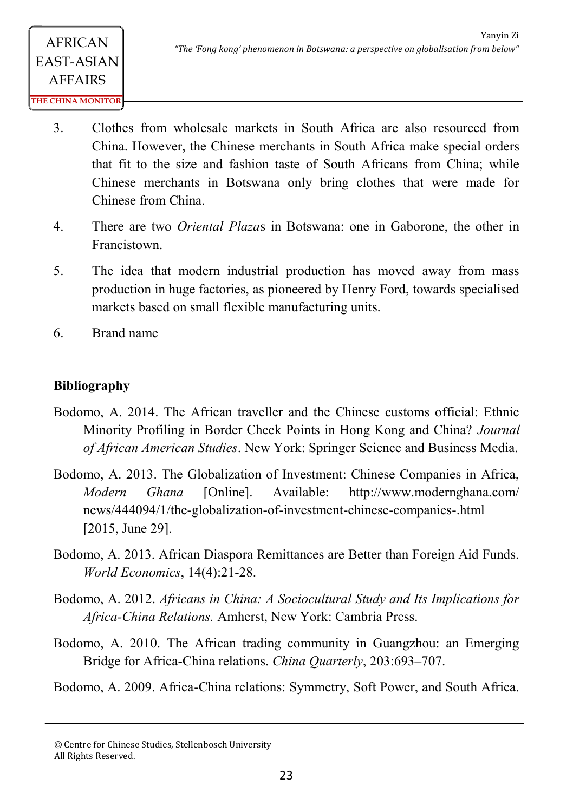- 3. Clothes from wholesale markets in South Africa are also resourced from China. However, the Chinese merchants in South Africa make special orders that fit to the size and fashion taste of South Africans from China; while Chinese merchants in Botswana only bring clothes that were made for Chinese from China.
- 4. There are two *Oriental Plaza*s in Botswana: one in Gaborone, the other in Francistown.
- 5. The idea that modern industrial production has moved away from mass production in huge factories, as pioneered by Henry Ford, towards specialised markets based on small flexible manufacturing units.
- 6. Brand name

## **Bibliography**

- Bodomo, A. 2014. The African traveller and the Chinese customs official: Ethnic Minority Profiling in Border Check Points in Hong Kong and China? *Journal of African American Studies*. New York: Springer Science and Business Media.
- Bodomo, A. 2013. The Globalization of Investment: Chinese Companies in Africa, *Modern Ghana* [Online]. Available: http://www.modernghana.com/ news/444094/1/the-globalization-of-investment-chinese-companies-.html [2015, June 29].
- Bodomo, A. 2013. African Diaspora Remittances are Better than Foreign Aid Funds. *World Economics*, 14(4):21-28.
- Bodomo, A. 2012. *Africans in China: A Sociocultural Study and Its Implications for Africa-China Relations.* Amherst, New York: Cambria Press.
- Bodomo, A. 2010. The African trading community in Guangzhou: an Emerging Bridge for Africa-China relations. *China Quarterly*, 203:693–707.

Bodomo, A. 2009. Africa-China relations: Symmetry, Soft Power, and South Africa.

<sup>©</sup> Centre for Chinese Studies, Stellenbosch University All Rights Reserved.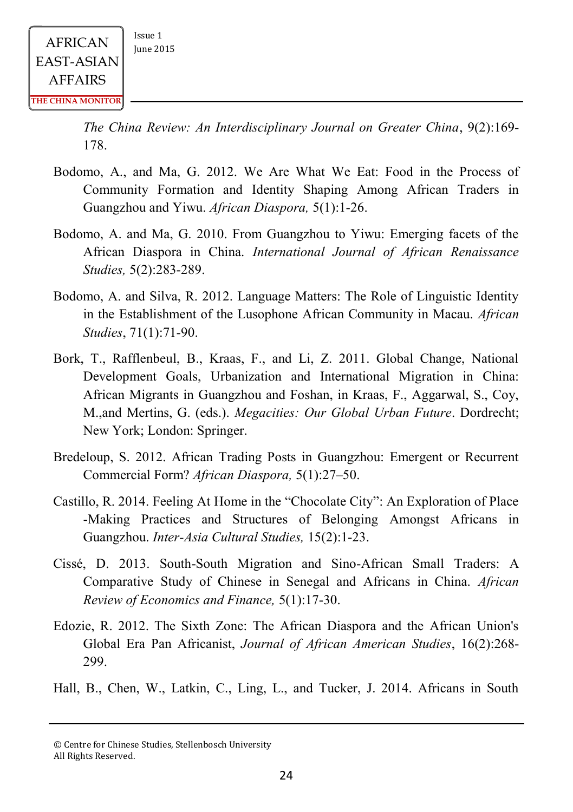*The China Review: An Interdisciplinary Journal on Greater China*, 9(2):169- 178.

- Bodomo, A., and Ma, G. 2012. We Are What We Eat: Food in the Process of Community Formation and Identity Shaping Among African Traders in Guangzhou and Yiwu. *African Diaspora,* 5(1):1-26.
- Bodomo, A. and Ma, G. 2010. From Guangzhou to Yiwu: Emerging facets of the African Diaspora in China. *International Journal of African Renaissance Studies,* 5(2):283-289.
- Bodomo, A. and Silva, R. 2012. Language Matters: The Role of Linguistic Identity in the Establishment of the Lusophone African Community in Macau. *African Studies*, 71(1):71-90.
- Bork, T., Rafflenbeul, B., Kraas, F., and Li, Z. 2011. Global Change, National Development Goals, Urbanization and International Migration in China: African Migrants in Guangzhou and Foshan, in Kraas, F., Aggarwal, S., Coy, M.,and Mertins, G. (eds.). *Megacities: Our Global Urban Future*. Dordrecht; New York; London: Springer.
- Bredeloup, S. 2012. African Trading Posts in Guangzhou: Emergent or Recurrent Commercial Form? *African Diaspora,* 5(1):27–50.
- Castillo, R. 2014. Feeling At Home in the "Chocolate City": An Exploration of Place -Making Practices and Structures of Belonging Amongst Africans in Guangzhou. *Inter-Asia Cultural Studies,* 15(2):1-23.
- Cissé, D. 2013. South-South Migration and Sino-African Small Traders: A Comparative Study of Chinese in Senegal and Africans in China. *African Review of Economics and Finance,* 5(1):17-30.
- Edozie, R. 2012. The Sixth Zone: The African Diaspora and the African Union's Global Era Pan Africanist, *Journal of African American Studies*, 16(2):268- 299.
- Hall, B., Chen, W., Latkin, C., Ling, L., and Tucker, J. 2014. Africans in South

<sup>©</sup> Centre for Chinese Studies, Stellenbosch University All Rights Reserved.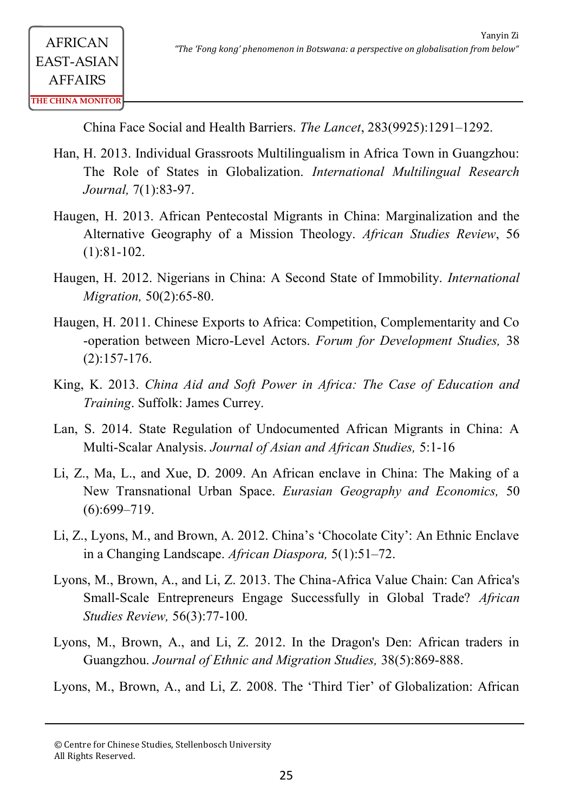China Face Social and Health Barriers. *The Lancet*, 283(9925):1291–1292.

- Han, H. 2013. Individual Grassroots Multilingualism in Africa Town in Guangzhou: The Role of States in Globalization. *International Multilingual Research Journal,* 7(1):83-97.
- Haugen, H. 2013. African Pentecostal Migrants in China: Marginalization and the Alternative Geography of a Mission Theology. *African Studies Review*, 56 (1):81-102.
- Haugen, H. 2012. Nigerians in China: A Second State of Immobility. *International Migration,* 50(2):65-80.
- Haugen, H. 2011. Chinese Exports to Africa: Competition, Complementarity and Co -operation between Micro-Level Actors. *Forum for Development Studies,* 38 (2):157-176.
- King, K. 2013. *China Aid and Soft Power in Africa: The Case of Education and Training*. Suffolk: James Currey.
- Lan, S. 2014. State Regulation of Undocumented African Migrants in China: A Multi-Scalar Analysis. *Journal of Asian and African Studies,* 5:1-16
- Li, Z., Ma, L., and Xue, D. 2009. An African enclave in China: The Making of a New Transnational Urban Space. *Eurasian Geography and Economics,* 50 (6):699–719.
- Li, Z., Lyons, M., and Brown, A. 2012. China's 'Chocolate City': An Ethnic Enclave in a Changing Landscape. *African Diaspora,* 5(1):51–72.
- Lyons, M., Brown, A., and Li, Z. 2013. The China-Africa Value Chain: Can Africa's Small-Scale Entrepreneurs Engage Successfully in Global Trade? *African Studies Review,* 56(3):77-100.
- Lyons, M., Brown, A., and Li, Z. 2012. In the Dragon's Den: African traders in Guangzhou. *Journal of Ethnic and Migration Studies,* 38(5):869-888.

Lyons, M., Brown, A., and Li, Z. 2008. The 'Third Tier' of Globalization: African

<sup>©</sup> Centre for Chinese Studies, Stellenbosch University All Rights Reserved.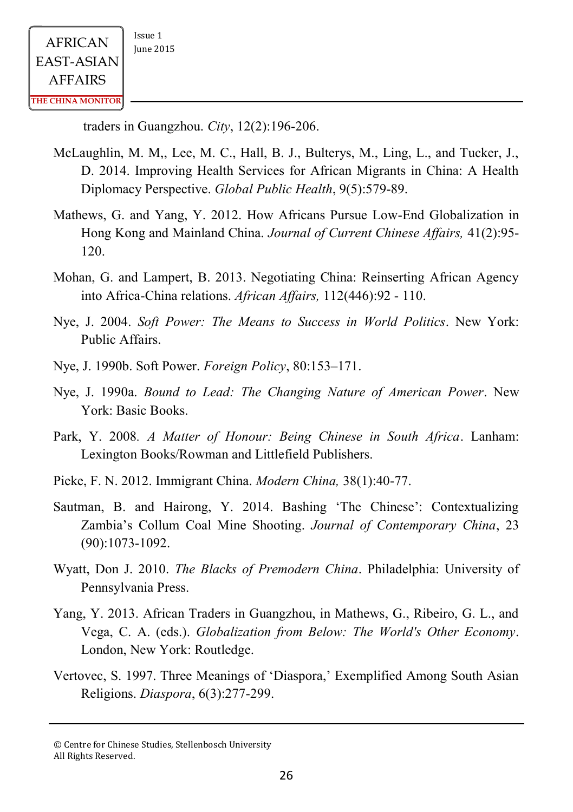traders in Guangzhou. *City*, 12(2):196-206.

- McLaughlin, M. M,, Lee, M. C., Hall, B. J., Bulterys, M., Ling, L., and Tucker, J., D. 2014. Improving Health Services for African Migrants in China: A Health Diplomacy Perspective. *Global Public Health*, 9(5):579-89.
- Mathews, G. and Yang, Y. 2012. How Africans Pursue Low-End Globalization in Hong Kong and Mainland China. *Journal of Current Chinese Affairs,* 41(2):95- 120.
- Mohan, G. and Lampert, B. 2013. Negotiating China: Reinserting African Agency into Africa-China relations. *African Affairs,* 112(446):92 - 110.
- Nye, J. 2004. *Soft Power: The Means to Success in World Politics*. New York: Public Affairs.
- Nye, J. 1990b. Soft Power. *Foreign Policy*, 80:153–171.
- Nye, J. 1990a. *Bound to Lead: The Changing Nature of American Power*. New York: Basic Books.
- Park, Y. 2008*. A Matter of Honour: Being Chinese in South Africa*. Lanham: Lexington Books/Rowman and Littlefield Publishers.
- Pieke, F. N. 2012. Immigrant China. *Modern China,* 38(1):40-77.
- Sautman, B. and Hairong, Y. 2014. Bashing 'The Chinese': Contextualizing Zambia's Collum Coal Mine Shooting. *Journal of Contemporary China*, 23 (90):1073-1092.
- Wyatt, Don J. 2010. *The Blacks of Premodern China*. Philadelphia: University of Pennsylvania Press.
- Yang, Y. 2013. African Traders in Guangzhou, in Mathews, G., Ribeiro, G. L., and Vega, C. A. (eds.). *Globalization from Below: The World's Other Economy*. London, New York: Routledge.
- Vertovec, S. 1997. Three Meanings of 'Diaspora,' Exemplified Among South Asian Religions. *Diaspora*, 6(3):277-299.

<sup>©</sup> Centre for Chinese Studies, Stellenbosch University All Rights Reserved.